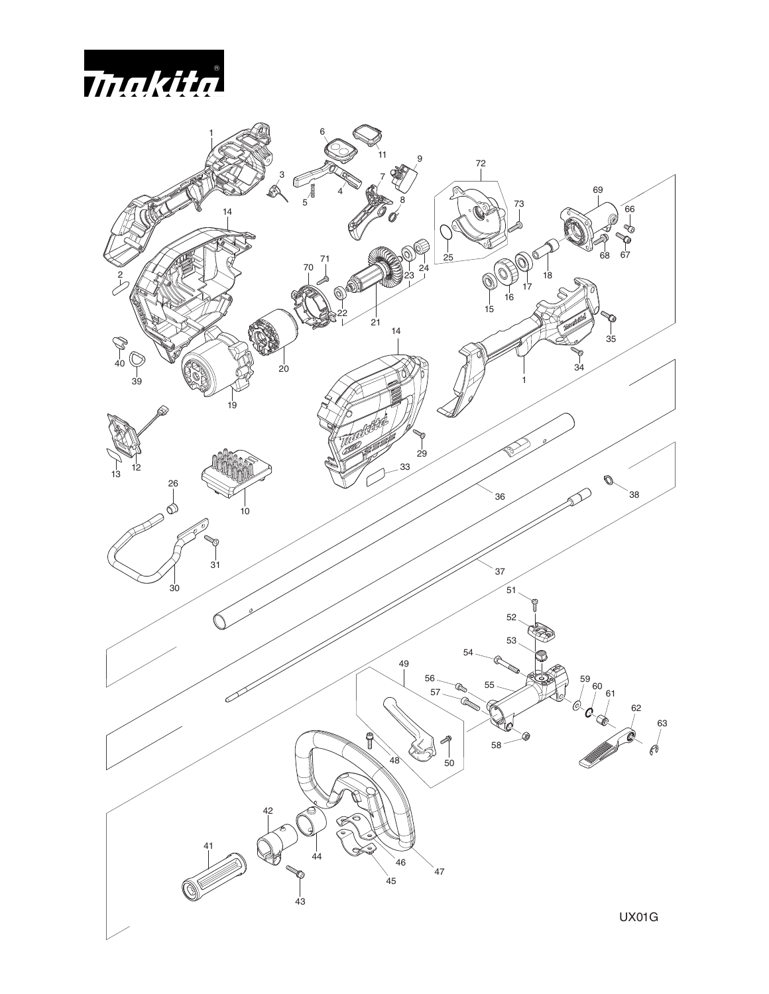

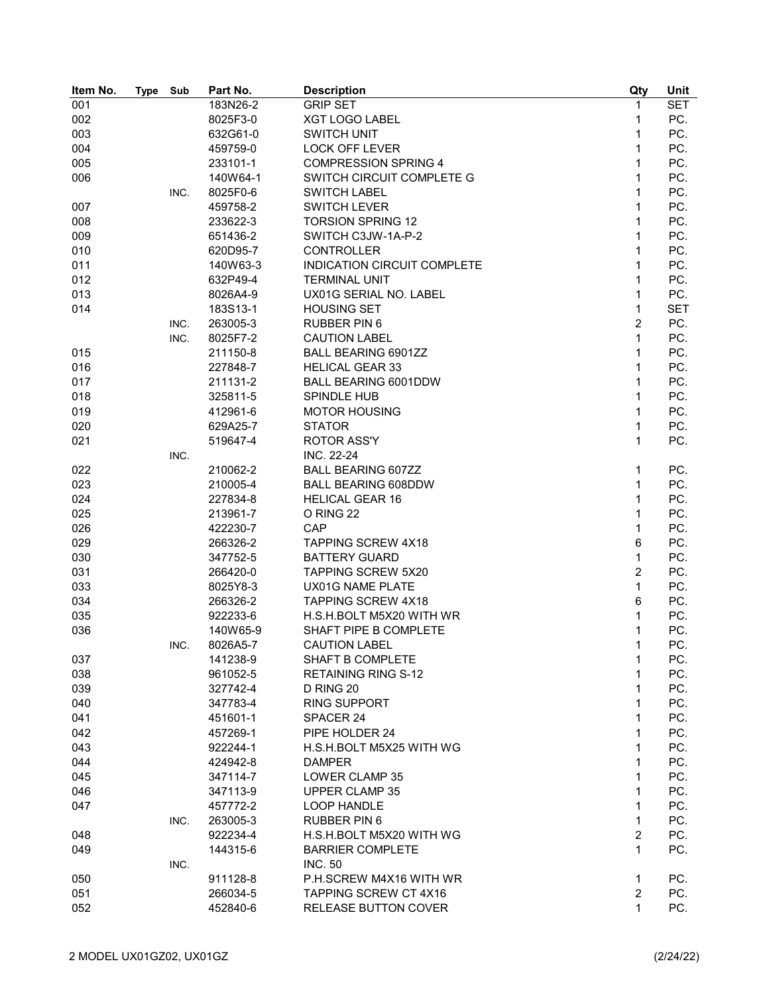| Item No. | <b>Type</b> | Sub  | Part No. | <b>Description</b>                 | Qty            | Unit       |
|----------|-------------|------|----------|------------------------------------|----------------|------------|
| 001      |             |      | 183N26-2 | <b>GRIP SET</b>                    | 1              | <b>SET</b> |
| 002      |             |      | 8025F3-0 | <b>XGT LOGO LABEL</b>              | 1              | PC.        |
| 003      |             |      | 632G61-0 | <b>SWITCH UNIT</b>                 | 1              | PC.        |
| 004      |             |      | 459759-0 | <b>LOCK OFF LEVER</b>              | 1              | PC.        |
| 005      |             |      | 233101-1 | <b>COMPRESSION SPRING 4</b>        | 1              | PC.        |
| 006      |             |      | 140W64-1 | SWITCH CIRCUIT COMPLETE G          | 1              | PC.        |
|          |             | INC. | 8025F0-6 | <b>SWITCH LABEL</b>                | 1              | PC.        |
| 007      |             |      | 459758-2 | <b>SWITCH LEVER</b>                | 1              | PC.        |
| 008      |             |      | 233622-3 | <b>TORSION SPRING 12</b>           | 1              | PC.        |
| 009      |             |      | 651436-2 | SWITCH C3JW-1A-P-2                 | 1              | PC.        |
| 010      |             |      | 620D95-7 | <b>CONTROLLER</b>                  | 1              | PC.        |
| 011      |             |      | 140W63-3 | <b>INDICATION CIRCUIT COMPLETE</b> | 1              | PC.        |
| 012      |             |      | 632P49-4 | <b>TERMINAL UNIT</b>               | 1              | PC.        |
| 013      |             |      | 8026A4-9 | UX01G SERIAL NO. LABEL             | 1              | PC.        |
| 014      |             |      | 183S13-1 | <b>HOUSING SET</b>                 | $\mathbf{1}$   | <b>SET</b> |
|          |             | INC. | 263005-3 | <b>RUBBER PIN 6</b>                | $\overline{2}$ | PC.        |
|          |             | INC. | 8025F7-2 | <b>CAUTION LABEL</b>               | 1              | PC.        |
| 015      |             |      | 211150-8 | <b>BALL BEARING 6901ZZ</b>         | 1              | PC.        |
| 016      |             |      | 227848-7 | <b>HELICAL GEAR 33</b>             | 1              | PC.        |
| 017      |             |      | 211131-2 | BALL BEARING 6001DDW               | 1              | PC.        |
| 018      |             |      | 325811-5 | SPINDLE HUB                        | 1              | PC.        |
| 019      |             |      | 412961-6 | <b>MOTOR HOUSING</b>               | 1              | PC.        |
| 020      |             |      | 629A25-7 | <b>STATOR</b>                      | 1              | PC.        |
| 021      |             |      | 519647-4 | <b>ROTOR ASS'Y</b>                 | 1              | PC.        |
|          |             | INC. |          | INC. 22-24                         |                |            |
| 022      |             |      | 210062-2 | <b>BALL BEARING 607ZZ</b>          | 1              | PC.        |
| 023      |             |      | 210005-4 | <b>BALL BEARING 608DDW</b>         | $\mathbf{1}$   | PC.        |
| 024      |             |      | 227834-8 | <b>HELICAL GEAR 16</b>             | 1              | PC.        |
|          |             |      |          |                                    | 1              | PC.        |
| 025      |             |      | 213961-7 | O RING 22                          |                |            |
| 026      |             |      | 422230-7 | CAP                                | 1              | PC.        |
| 029      |             |      | 266326-2 | <b>TAPPING SCREW 4X18</b>          | 6              | PC.        |
| 030      |             |      | 347752-5 | <b>BATTERY GUARD</b>               | $\mathbf{1}$   | PC.        |
| 031      |             |      | 266420-0 | <b>TAPPING SCREW 5X20</b>          | $\overline{c}$ | PC.        |
| 033      |             |      | 8025Y8-3 | UX01G NAME PLATE                   | $\mathbf{1}$   | PC.        |
| 034      |             |      | 266326-2 | <b>TAPPING SCREW 4X18</b>          | 6              | PC.        |
| 035      |             |      | 922233-6 | H.S.H.BOLT M5X20 WITH WR           | 1              | PC.        |
| 036      |             |      | 140W65-9 | SHAFT PIPE B COMPLETE              | 1              | PC.        |
|          |             | INC. | 8026A5-7 | <b>CAUTION LABEL</b>               | 1              | PC.        |
| 037      |             |      | 141238-9 | <b>SHAFT B COMPLETE</b>            | 1              | PC.        |
| 038      |             |      | 961052-5 | <b>RETAINING RING S-12</b>         | 1              | PC.        |
| 039      |             |      | 327742-4 | D RING 20                          | 1              | PC.        |
| 040      |             |      | 347783-4 | <b>RING SUPPORT</b>                | 1              | PC.        |
| 041      |             |      | 451601-1 | SPACER 24                          | 1              | PC.        |
| 042      |             |      | 457269-1 | PIPE HOLDER 24                     | 1              | PC.        |
| 043      |             |      | 922244-1 | H.S.H.BOLT M5X25 WITH WG           | 1              | PC.        |
| 044      |             |      | 424942-8 | <b>DAMPER</b>                      | 1              | PC.        |
| 045      |             |      | 347114-7 | LOWER CLAMP 35                     | 1              | PC.        |
| 046      |             |      | 347113-9 | <b>UPPER CLAMP 35</b>              | $\mathbf{1}$   | PC.        |
| 047      |             |      | 457772-2 | <b>LOOP HANDLE</b>                 | $\mathbf{1}$   | PC.        |
|          |             | INC. | 263005-3 | <b>RUBBER PIN 6</b>                | 1              | PC.        |
| 048      |             |      | 922234-4 | H.S.H.BOLT M5X20 WITH WG           | $\overline{2}$ | PC.        |
| 049      |             |      | 144315-6 | <b>BARRIER COMPLETE</b>            | $\mathbf{1}$   | PC.        |
|          |             | INC. |          | <b>INC. 50</b>                     |                |            |
| 050      |             |      | 911128-8 | P.H.SCREW M4X16 WITH WR            | 1              | PC.        |
| 051      |             |      | 266034-5 | <b>TAPPING SCREW CT 4X16</b>       | $\overline{2}$ | PC.        |
| 052      |             |      | 452840-6 | <b>RELEASE BUTTON COVER</b>        | 1              | PC.        |